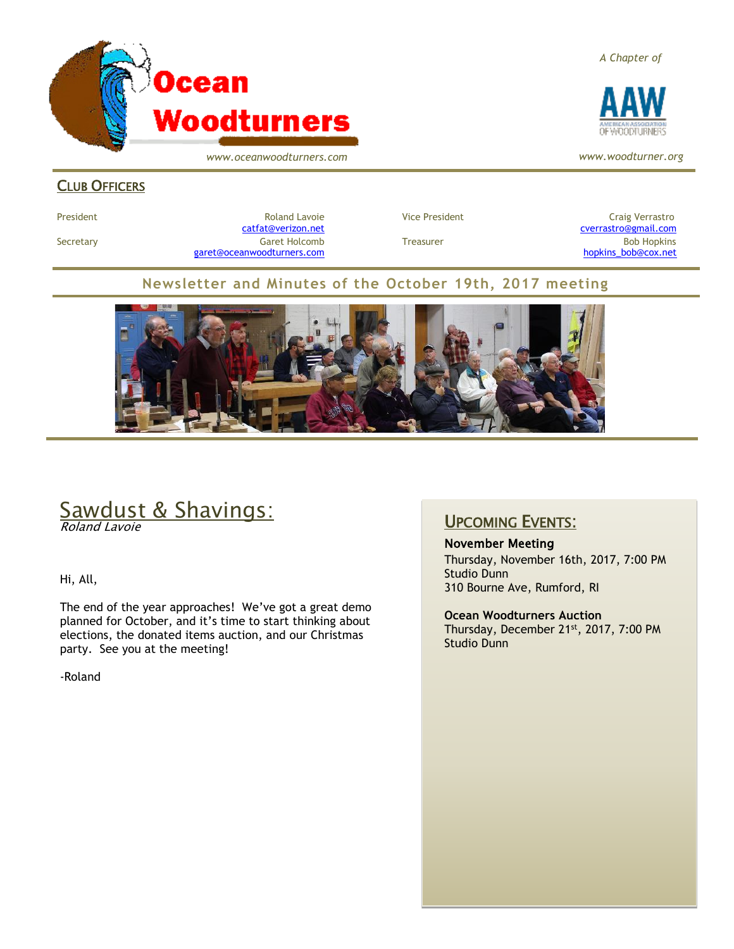

*www.oceanwoodturners.com*

*A Chapter of*



*www.woodturner.org*

#### **CLUB OFFICERS**

President Entertainment Roland Lavoie and Vice President Craig Verrastro<br>Catfat@verizon.net Craig Verrastro@gmail.com Secretary Garet Holcomb Treasurer Bob Hopkins [garet@oceanwoodturners.com](mailto:garet@oceanwoodturners.com) example and the state of the state of the [hopkins\\_bob@cox.net](mailto:hopkins_bob@cox.net)

cverrastro@gmail.com

#### **Newsletter and Minutes of the October 19th, 2017 meeting**



# Sawdust & Shavings:

Roland Lavoie

Hi, All,

The end of the year approaches! We've got a great demo planned for October, and it's time to start thinking about elections, the donated items auction, and our Christmas party. See you at the meeting!

-Roland

#### UPCOMING EVENTS:

November Meeting Thursday, November 16th, 2017, 7:00 PM Studio Dunn 310 Bourne Ave, Rumford, RI

**Ocean Woodturners Auction** Thursday, December 21st, 2017, 7:00 PM Studio Dunn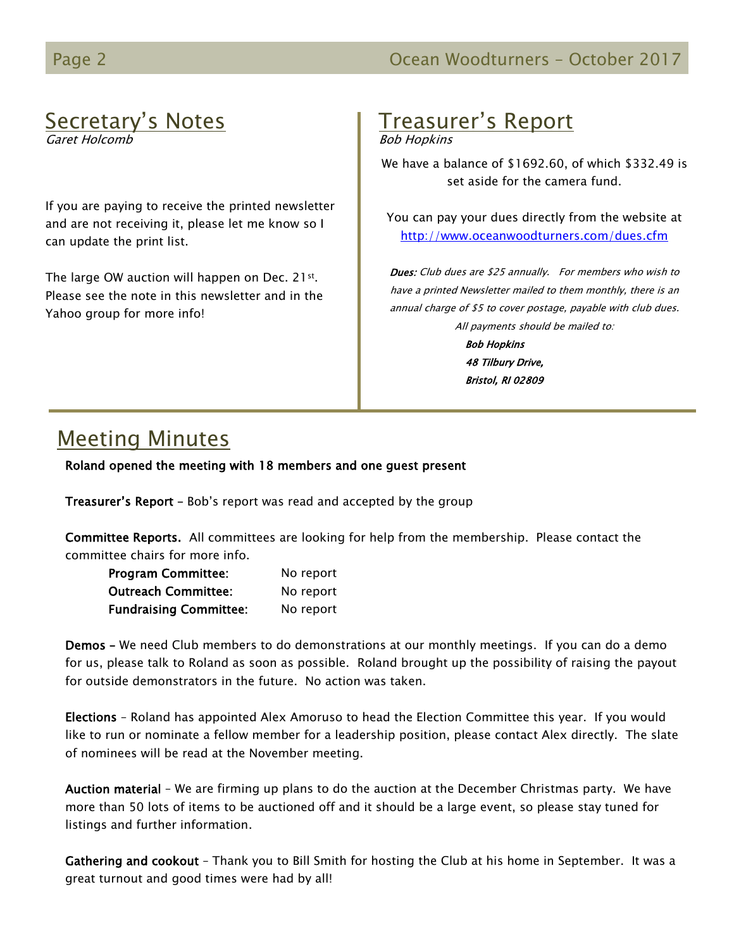# Secretary's Notes

Garet Holcomb

If you are paying to receive the printed newsletter and are not receiving it, please let me know so I can update the print list.

The large OW auction will happen on Dec. 21st. Please see the note in this newsletter and in the Yahoo group for more info!

# Treasurer's Report

Bob Hopkins

We have a balance of \$1692.60, of which \$332.49 is set aside for the camera fund.

You can pay your dues directly from the website at <http://www.oceanwoodturners.com/dues.cfm>

Dues: Club dues are \$25 annually. For members who wish to have a printed Newsletter mailed to them monthly, there is an annual charge of \$5 to cover postage, payable with club dues. All payments should be mailed to:

> Bob Hopkins 48 Tilbury Drive, Bristol, RI 02809

# Meeting Minutes

Roland opened the meeting with 18 members and one guest present

Treasurer's Report – Bob's report was read and accepted by the group

Committee Reports. All committees are looking for help from the membership. Please contact the committee chairs for more info.

| <b>Program Committee:</b>     | No report |
|-------------------------------|-----------|
| <b>Outreach Committee:</b>    | No report |
| <b>Fundraising Committee:</b> | No report |

Demos – We need Club members to do demonstrations at our monthly meetings. If you can do a demo for us, please talk to Roland as soon as possible. Roland brought up the possibility of raising the payout for outside demonstrators in the future. No action was taken.

Elections – Roland has appointed Alex Amoruso to head the Election Committee this year. If you would like to run or nominate a fellow member for a leadership position, please contact Alex directly. The slate of nominees will be read at the November meeting.

Auction material – We are firming up plans to do the auction at the December Christmas party. We have more than 50 lots of items to be auctioned off and it should be a large event, so please stay tuned for listings and further information.

Gathering and cookout – Thank you to Bill Smith for hosting the Club at his home in September. It was a great turnout and good times were had by all!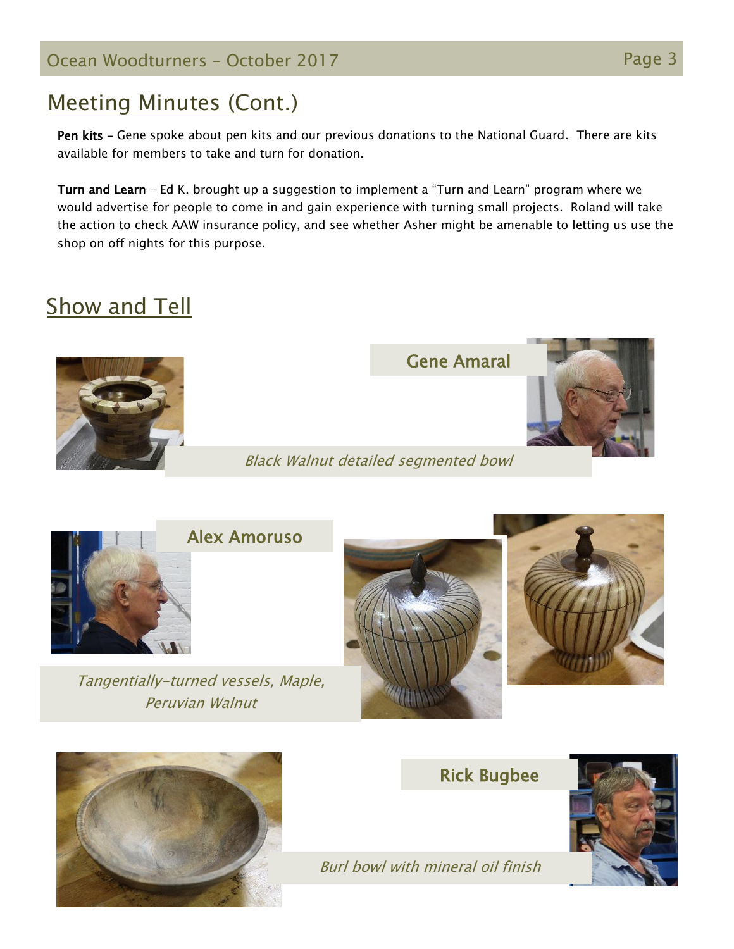Ocean Woodturners – October 2017 Page 3

# Meeting Minutes (Cont.)

Pen kits – Gene spoke about pen kits and our previous donations to the National Guard. There are kits available for members to take and turn for donation.

Turn and Learn – Ed K. brought up a suggestion to implement a "Turn and Learn" program where we would advertise for people to come in and gain experience with turning small projects. Roland will take the action to check AAW insurance policy, and see whether Asher might be amenable to letting us use the shop on off nights for this purpose.

Black Walnut detailed segmented bowl

# **Show and Tell**



Gene Amaral



Alex Amoruso

Tangentially-turned vessels, Maple, Peruvian Walnut







Rick Bugbee



Burl bowl with mineral oil finish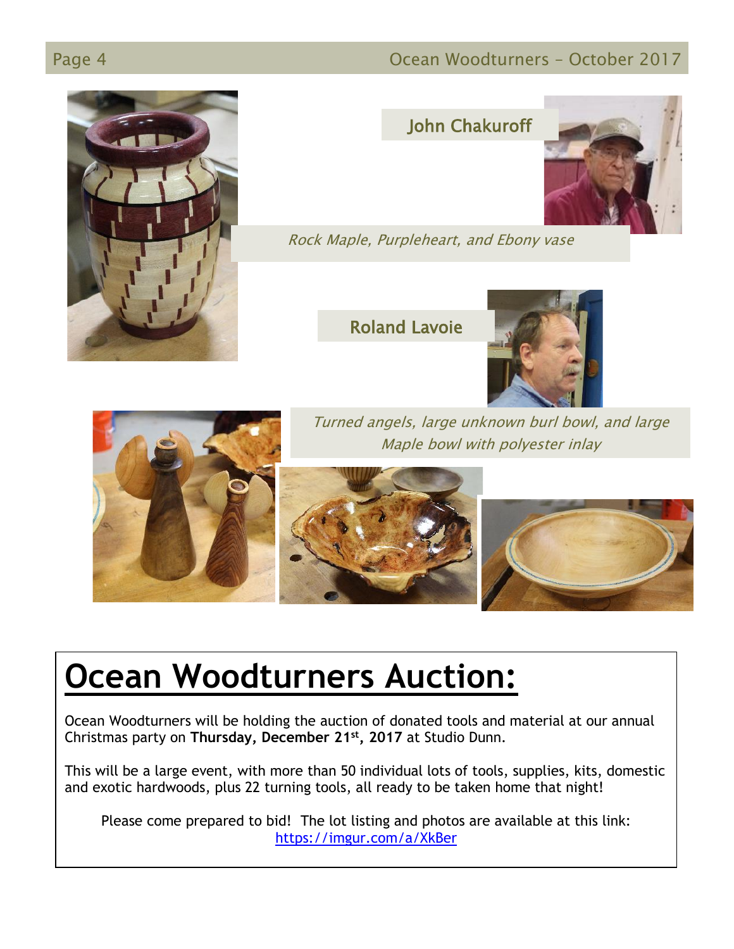#### Page 4 **Ocean Woodturners – October 2017**



### John Chakuroff



Rock Maple, Purpleheart, and Ebony vase

Roland Lavoie





Turned angels, large unknown burl bowl, and large Maple bowl with polyester inlay





# **Ocean Woodturners Auction:**

Ocean Woodturners will be holding the auction of donated tools and material at our annual Christmas party on **Thursday, December 21st, 2017** at Studio Dunn.

This will be a large event, with more than 50 individual lots of tools, supplies, kits, domestic and exotic hardwoods, plus 22 turning tools, all ready to be taken home that night!

Please come prepared to bid! The lot listing and photos are available at this link: <https://imgur.com/a/XkBer>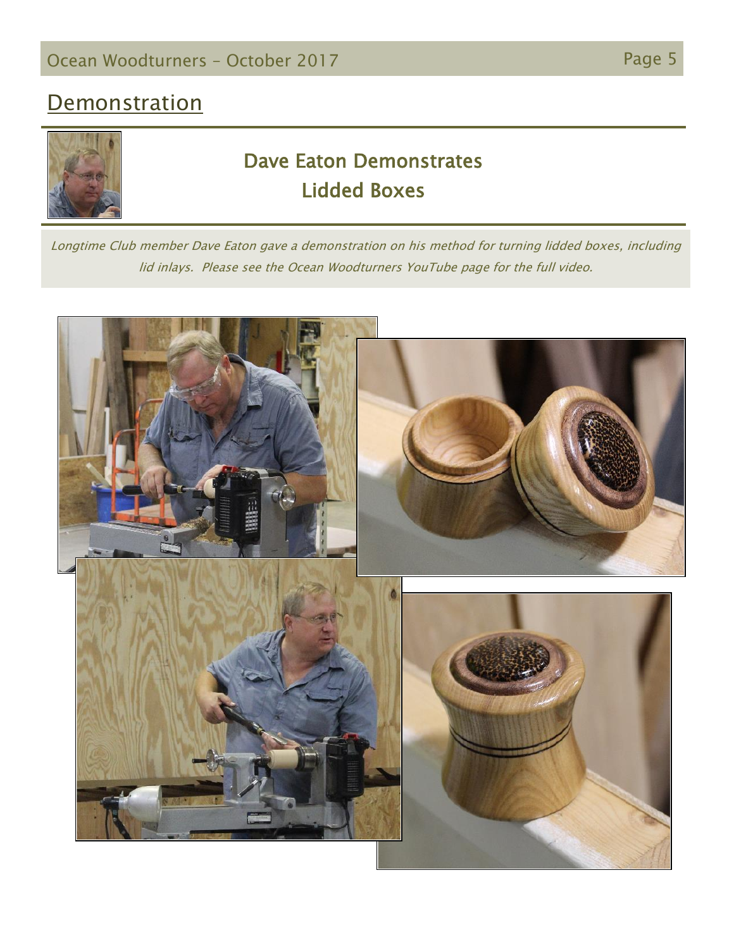# **Demonstration**



# Dave Eaton Demonstrates Lidded Boxes

Longtime Club member Dave Eaton gave a demonstration on his method for turning lidded boxes, including lid inlays. Please see the Ocean Woodturners YouTube page for the full video.